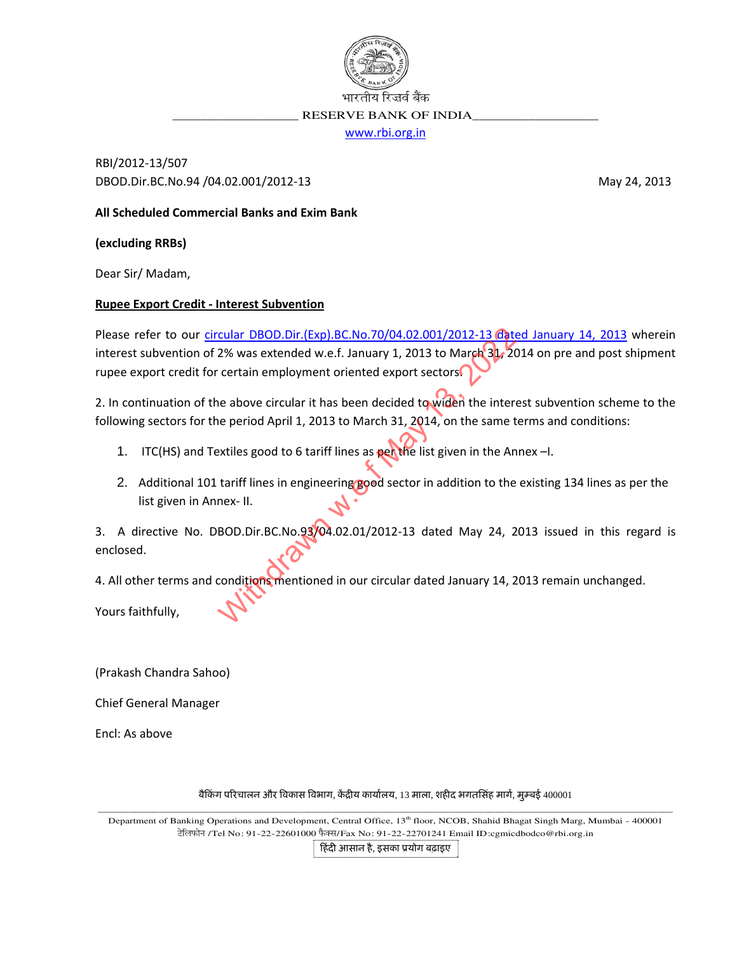

RESERVE BANK OF INDIA

www.rbi.org.in

RBI/2012-13/507 DBOD.Dir.BC.No.94 /04.02.001/2012-13

May 24, 2013

All Scheduled Commercial Banks and Exim Bank

(excluding RRBs)

Dear Sir/Madam,

## **Rupee Export Credit - Interest Subvention**

Please refer to our circular DBOD.Dir.(Exp).BC.No.70/04.02.001/2012-13 dated January 14, 2013 wherein interest subvention of 2% was extended w.e.f. January 1, 2013 to March 31, 2014 on pre and post shipment rupee export credit for certain employment oriented export sectors

2. In continuation of the above circular it has been decided to widen the interest subvention scheme to the following sectors for the period April 1, 2013 to March 31, 2014, on the same terms and conditions:

- 1. ITC(HS) and Textiles good to 6 tariff lines as peache list given in the Annex-I.
- 2. Additional 101 tariff lines in engineering good sector in addition to the existing 134 lines as per the list given in Annex- II.

3. A directive No. DBOD.Dir.BC.No.93/04.02.01/2012-13 dated May 24, 2013 issued in this regard is enclosed.

4. All other terms and conditions mentioned in our circular dated January 14, 2013 remain unchanged.

Yours faithfully,

(Prakash Chandra Sahoo)

**Chief General Manager** 

Encl: As above

## बैकिंग परिचालन और विकास विभाग, केंद्रीय कार्यालय, 13 माला, शहीद भगतसिंह मार्ग, मुम्बई 400001

Department of Banking Operations and Development, Central Office, 13<sup>th</sup> floor, NCOB, Shahid Bhagat Singh Marg, Mumbai - 400001 ਟੇलਿफोन /Tel No: 91-22-22601000 फैक्स/Fax No: 91-22-22701241 Email ID:cgmicdbodco@rbi.org.in

हिंदी आसान है, इसका प्रयोग बढ़ाइए